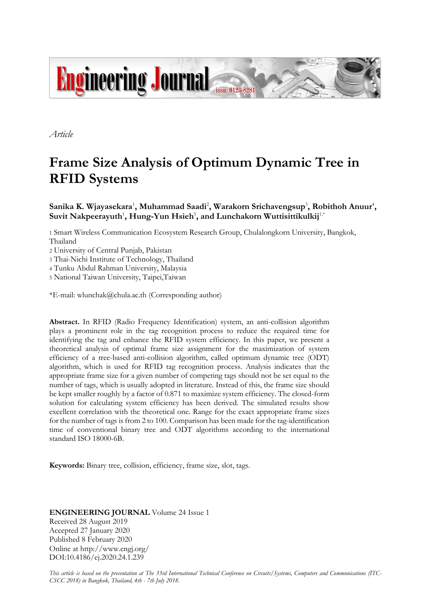

*Article*

# **Frame Size Analysis of Optimum Dynamic Tree in RFID Systems**

 $\mathbf{S}$ anika  $\mathbf{K}$ . Wjayasekara<sup>1</sup>, Muhammad Saadi<sup>2</sup>, Warakorn Srichavengsup<sup>3</sup>, Robithoh Anuur<sup>4</sup>,  $\mathbf{S}$ uvit  $\mathbf{N}$ akpeerayuth<sup>1</sup>,  $\mathbf{H}$ ung-Yun  $\mathbf{H}$ sieh<sup>5</sup>, and Lunchakorn Wuttisittikulkij<sup>1,\*</sup>

1 Smart Wireless Communication Ecosystem Research Group, Chulalongkorn University, Bangkok, Thailand

2 University of Central Punjab, Pakistan

3 Thai-Nichi Institute of Technology, Thailand

4 Tunku Abdul Rahman University, Malaysia

5 National Taiwan University, Taipei,Taiwan

\*E-mail: wlunchak@chula.ac.th (Corresponding author)

**Abstract.** In RFID (Radio Frequency Identification) system, an anti-collision algorithm plays a prominent role in the tag recognition process to reduce the required time for identifying the tag and enhance the RFID system efficiency. In this paper, we present a theoretical analysis of optimal frame size assignment for the maximization of system efficiency of a tree-based anti-collision algorithm, called optimum dynamic tree (ODT) algorithm, which is used for RFID tag recognition process. Analysis indicates that the appropriate frame size for a given number of competing tags should not be set equal to the number of tags, which is usually adopted in literature. Instead of this, the frame size should be kept smaller roughly by a factor of 0.871 to maximize system efficiency. The closed-form solution for calculating system efficiency has been derived. The simulated results show excellent correlation with the theoretical one. Range for the exact appropriate frame sizes for the number of tags is from 2 to 100. Comparison has been made for the tag-identification time of conventional binary tree and ODT algorithms according to the international standard ISO 18000-6B.

**Keywords:** Binary tree, collision, efficiency, frame size, slot, tags.

## **ENGINEERING JOURNAL** Volume 24 Issue 1 Received 28 August 2019 Accepted 27 January 2020 Published 8 February 2020 Online at http://www.engj.org/ DOI:10.4186/ej.2020.24.1.239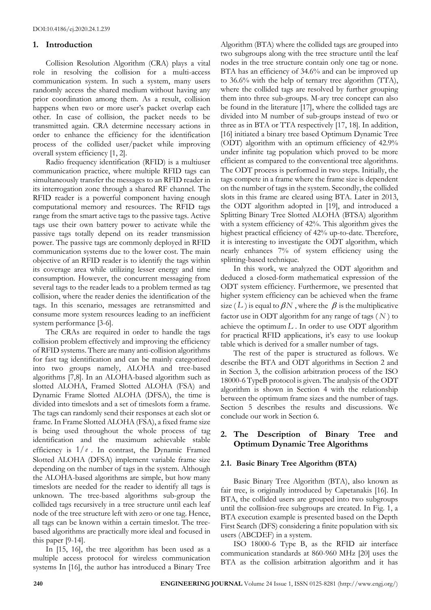# **1. Introduction**

Collision Resolution Algorithm (CRA) plays a vital role in resolving the collision for a multi-access communication system. In such a system, many users randomly access the shared medium without having any prior coordination among them. As a result, collision happens when two or more user's packet overlap each other. In case of collision, the packet needs to be transmitted again. CRA determine necessary actions in order to enhance the efficiency for the identification process of the collided user/packet while improving overall system efficiency [1, 2].

Radio frequency identification (RFID) is a multiuser communication practice, where multiple RFID tags can simultaneously transfer the messages to an RFID reader in its interrogation zone through a shared RF channel. The RFID reader is a powerful component having enough computational memory and resources. The RFID tags range from the smart active tags to the passive tags. Active tags use their own battery power to activate while the passive tags totally depend on its reader transmission power. The passive tags are commonly deployed in RFID communication systems due to the lower cost. The main objective of an RFID reader is to identify the tags within its coverage area while utilizing lesser energy and time consumption. However, the concurrent messaging from several tags to the reader leads to a problem termed as tag collision, where the reader denies the identification of the tags. In this scenario, messages are retransmitted and consume more system resources leading to an inefficient system performance [3-6].

The CRAs are required in order to handle the tags collision problem effectively and improving the efficiency of RFID systems. There are many anti-collision algorithms for fast tag identification and can be mainly categorized into two groups namely, ALOHA and tree-based algorithms [7,8]. In an ALOHA-based algorithm such as slotted ALOHA, Framed Slotted ALOHA (FSA) and Dynamic Frame Slotted ALOHA (DFSA), the time is divided into timeslots and a set of timeslots form a frame. The tags can randomly send their responses at each slot or frame. In Frame Slotted ALOHA (FSA), a fixed frame size is being used throughout the whole process of tag identification and the maximum achievable stable efficiency is  $1/e$ . In contrast, the Dynamic Framed Slotted ALOHA (DFSA) implement variable frame size depending on the number of tags in the system. Although the ALOHA-based algorithms are simple, but how many timeslots are needed for the reader to identify all tags is unknown. The tree-based algorithms sub-group the collided tags recursively in a tree structure until each leaf node of the tree structure left with zero or one tag. Hence, all tags can be known within a certain timeslot. The treebased algorithms are practically more ideal and focused in this paper [9-14].

In [15, 16], the tree algorithm has been used as a multiple access protocol for wireless communication systems In [16], the author has introduced a Binary Tree Algorithm (BTA) where the collided tags are grouped into two subgroups along with the tree structure until the leaf nodes in the tree structure contain only one tag or none. BTA has an efficiency of 34.6% and can be improved up to 36.6% with the help of ternary tree algorithm (TTA), where the collided tags are resolved by further grouping them into three sub-groups. M-ary tree concept can also be found in the literature [17], where the collided tags are divided into M number of sub-groups instead of two or three as in BTA or TTA respectively [17, 18]. In addition, [16] initiated a binary tree based Optimum Dynamic Tree (ODT) algorithm with an optimum efficiency of 42.9% under infinite tag population which proved to be more efficient as compared to the conventional tree algorithms. The ODT process is performed in two steps. Initially, the tags compete in a frame where the frame size is dependent on the number of tags in the system. Secondly, the collided slots in this frame are cleared using BTA. Later in 2013, the ODT algorithm adopted in [19], and introduced a Splitting Binary Tree Slotted ALOHA (BTSA) algorithm with a system efficiency of 42%. This algorithm gives the highest practical efficiency of 42% up-to-date. Therefore, it is interesting to investigate the ODT algorithm, which nearly enhances 7% of system efficiency using the splitting-based technique.

In this work, we analyzed the ODT algorithm and deduced a closed-form mathematical expression of the ODT system efficiency. Furthermore, we presented that higher system efficiency can be achieved when the frame size (L) is equal to  $\beta N$ , where the  $\beta$  is the multiplicative factor use in ODT algorithm for any range of tags ( *N* ) to achieve the optimum  $L$ . In order to use ODT algorithm for practical RFID applications, it's easy to use lookup table which is derived for a smaller number of tags.

The rest of the paper is structured as follows. We describe the BTA and ODT algorithms in Section 2 and in Section 3, the collision arbitration process of the ISO 18000-6 TypeB protocol is given. The analysis of the ODT algorithm is shown in Section 4 with the relationship between the optimum frame sizes and the number of tags. Section 5 describes the results and discussions. We conclude our work in Section 6.

# **2. The Description of Binary Tree and Optimum Dynamic Tree Algorithms**

# **2.1. Basic Binary Tree Algorithm (BTA)**

Basic Binary Tree Algorithm (BTA), also known as fair tree, is originally introduced by Capetanakis [16]. In BTA, the collided users are grouped into two subgroups until the collision-free subgroups are created. In Fig. 1, a BTA execution example is presented based on the Depth First Search (DFS) considering a finite population with six users (ABCDEF) in a system.

ISO 18000-6 Type B, as the RFID air interface communication standards at 860-960 MHz [20] uses the BTA as the collision arbitration algorithm and it has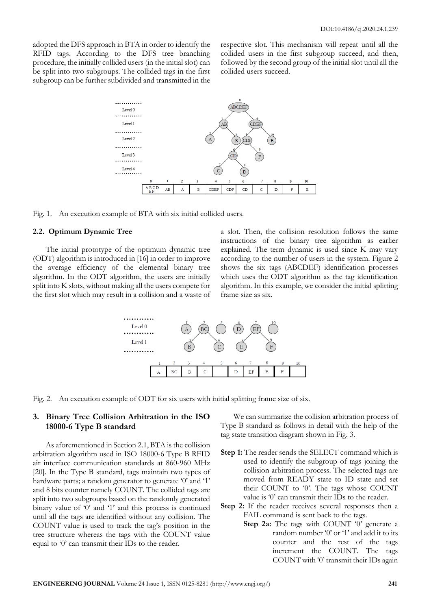adopted the DFS approach in BTA in order to identify the RFID tags. According to the DFS tree branching procedure, the initially collided users (in the initial slot) can be split into two subgroups. The collided tags in the first subgroup can be further subdivided and transmitted in the respective slot. This mechanism will repeat until all the collided users in the first subgroup succeed, and then, followed by the second group of the initial slot until all the collided users succeed.



Fig. 1. An execution example of BTA with six initial collided users.

#### **2.2. Optimum Dynamic Tree**

The initial prototype of the optimum dynamic tree (ODT) algorithm is introduced in [16] in order to improve the average efficiency of the elemental binary tree algorithm. In the ODT algorithm, the users are initially split into K slots, without making all the users compete for the first slot which may result in a collision and a waste of a slot. Then, the collision resolution follows the same instructions of the binary tree algorithm as earlier explained. The term dynamic is used since K may vary according to the number of users in the system. Figure 2 shows the six tags (ABCDEF) identification processes which uses the ODT algorithm as the tag identification algorithm. In this example, we consider the initial splitting frame size as six.



Fig. 2. An execution example of ODT for six users with initial splitting frame size of six.

# **3. Binary Tree Collision Arbitration in the ISO 18000-6 Type B standard**

As aforementioned in Section 2.1, BTA is the collision arbitration algorithm used in ISO 18000-6 Type B RFID air interface communication standards at 860-960 MHz [20]. In the Type B standard, tags maintain two types of hardware parts; a random generator to generate '0' and '1' and 8 bits counter namely COUNT. The collided tags are split into two subgroups based on the randomly generated binary value of '0' and '1' and this process is continued until all the tags are identified without any collision. The COUNT value is used to track the tag's position in the tree structure whereas the tags with the COUNT value equal to '0' can transmit their IDs to the reader.

We can summarize the collision arbitration process of Type B standard as follows in detail with the help of the tag state transition diagram shown in Fig. 3.

- **Step 1:** The reader sends the SELECT command which is used to identify the subgroup of tags joining the collision arbitration process. The selected tags are moved from READY state to ID state and set their COUNT to '0'. The tags whose COUNT value is '0' can transmit their IDs to the reader.
- **Step 2:** If the reader receives several responses then a FAIL command is sent back to the tags.
	- **Step 2a:** The tags with COUNT '0' generate a random number '0' or '1' and add it to its counter and the rest of the tags increment the COUNT. The tags COUNT with '0' transmit their IDs again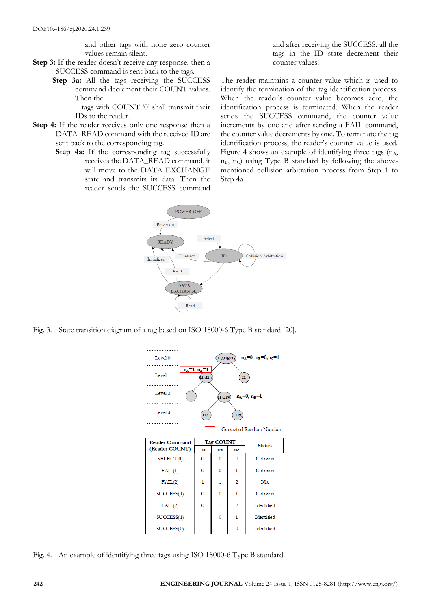and other tags with none zero counter values remain silent.

- **Step 3:** If the reader doesn't receive any response, then a SUCCESS command is sent back to the tags.
	- **Step 3a:** All the tags receiving the SUCCESS command decrement their COUNT values. Then the

tags with COUNT '0' shall transmit their IDs to the reader.

- **Step 4:** If the reader receives only one response then a DATA\_READ command with the received ID are sent back to the corresponding tag.
	- **Step 4a:** If the corresponding tag successfully receives the DATA\_READ command, it will move to the DATA EXCHANGE state and transmits its data. Then the reader sends the SUCCESS command

and after receiving the SUCCESS, all the tags in the ID state decrement their counter values.

The reader maintains a counter value which is used to identify the termination of the tag identification process. When the reader's counter value becomes zero, the identification process is terminated. When the reader sends the SUCCESS command, the counter value increments by one and after sending a FAIL command, the counter value decrements by one. To terminate the tag identification process, the reader's counter value is used. Figure 4 shows an example of identifying three tags  $(n_A,$  $n_B$ , n<sub>C</sub>) using Type B standard by following the abovementioned collision arbitration process from Step 1 to Step 4a.



Fig. 3. State transition diagram of a tag based on ISO 18000-6 Type B standard [20].

| Level 0                                                                     |              |             | $(n_{A}n_{B}n_{c})$ $n_{A}=0, n_{B}=0, n_{c}=1$ |                   |  |  |  |  |  |  |
|-----------------------------------------------------------------------------|--------------|-------------|-------------------------------------------------|-------------------|--|--|--|--|--|--|
| $n_A=1$ , $n_B=1$                                                           |              |             |                                                 |                   |  |  |  |  |  |  |
| Level 1                                                                     | nang         |             | $n_{\rm c}$                                     |                   |  |  |  |  |  |  |
|                                                                             |              |             |                                                 |                   |  |  |  |  |  |  |
| Level <sub>2</sub><br>$n_A=0$ , $n_B=1$<br>$(n_{\rm A}n_{\rm B})$ $\lfloor$ |              |             |                                                 |                   |  |  |  |  |  |  |
|                                                                             |              |             |                                                 |                   |  |  |  |  |  |  |
| Level 3<br>$n_B$<br>$n_A$                                                   |              |             |                                                 |                   |  |  |  |  |  |  |
|                                                                             |              |             |                                                 |                   |  |  |  |  |  |  |
| Generated Random Number                                                     |              |             |                                                 |                   |  |  |  |  |  |  |
| <b>Reader Command</b>                                                       |              | Tag COUNT   |                                                 |                   |  |  |  |  |  |  |
| (Reader COUNT)                                                              | nд           | $n_{\rm B}$ | $n_{c}$                                         | <b>Status</b>     |  |  |  |  |  |  |
| SELECT(0)                                                                   | 0            | 0           | $\Omega$                                        | Collision         |  |  |  |  |  |  |
| FAIL(1)                                                                     | 0            | 0           | 1                                               | Collision         |  |  |  |  |  |  |
| FAIL(2)                                                                     | 1            | 1           | $\overline{2}$                                  | Idle              |  |  |  |  |  |  |
| SUCCESS(1)                                                                  | $\mathbf{0}$ | $\Omega$    | 1                                               | Collision         |  |  |  |  |  |  |
| FAIL(2)                                                                     | 0            | 1           | 2                                               | Identified        |  |  |  |  |  |  |
| SUCCESS(1)                                                                  |              | 0           | 1                                               | Identified        |  |  |  |  |  |  |
| SUCCESS(0)                                                                  |              |             | 0                                               | <b>Identified</b> |  |  |  |  |  |  |

Fig. 4. An example of identifying three tags using ISO 18000-6 Type B standard.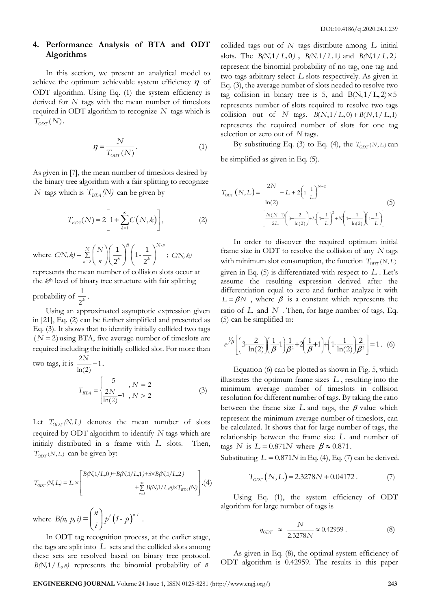# **4. Performance Analysis of BTA and ODT Algorithms**

In this section, we present an analytical model to achieve the optimum achievable system efficiency  $\eta$  of ODT algorithm. Using Eq. (1) the system efficiency is derived for *N* tags with the mean number of timeslots required in ODT algorithm to recognize *N* tags which is  $T_{\text{ODT}}(N)$ .

$$
\eta = \frac{N}{T_{\text{ODT}}(N)}.\tag{1}
$$

As given in [7], the mean number of timeslots desired by the binary tree algorithm with a fair splitting to recognize *N* tags which is  $T_{BTA}$  $(N)$  can be given by

$$
T_{BTA}(N) = 2\left[1 + \sum_{k=1}^{\infty} C(N,k)\right],
$$
 (2)

where  $C(N, k) = \sum_{n=2}^{\infty}$  $\left(\begin{array}{c}1\\1\end{array}\right)$   $\left(1-\frac{1}{2}\right)$  $2^{\sim}$  ) (2 Σ  $\sum_{n=2}^{N}$  $\binom{N}{n}$  $\left(\frac{1}{2^k}\right)^n$  $\left(1-\frac{1}{2^k}\right)^{N-n}$  $\sum_{n=2}^{\infty}$   $\binom{n}{k}$   $\binom{n}{k}$   $\binom{n}{k}$  $C(N,k) = \sum_{n=2}^{N} {N \choose n} \left(\frac{1}{2^k}\right)^n \left(1 - \frac{1}{2^k}\right)^{N-n};\ C(N,k)$ 

represents the mean number of collision slots occur at the *k*th level of binary tree structure with fair splitting

probability of  $\frac{1}{2}$ 1 *k* .

Using an approximated asymptotic expression given in [21], Eq. (2) can be further simplified and presented as Eq. (3). It shows that to identify initially collided two tags  $(N=2)$  using BTA, five average number of timeslots are required including the initially collided slot. For more than

two tags, it is 
$$
\frac{2N}{\ln(2)} - 1
$$
.  

$$
T_{BTA} = \begin{cases} 5 & , N = 2\\ \frac{2N}{\ln(2)} - 1, N > 2 \end{cases}
$$
(3)

Let  $T_{OPT}(N, L)$  denotes the mean number of slots required by ODT algorithm to identify *N* tags which are initialy distributed in a frame with *L* slots. Then,  $T_{OPT}(N, L)$  can be given by:

$$
T_{ODT}(N,L) = L \times \left[ \begin{matrix} B(N,1/L,0) + B(N,1/L,1) + 5 \times B(N,1/L,2) \\ + \sum_{n=3}^{\infty} B(N,1/L,n) \times T_{BTA}(N) \end{matrix} \right].(4)
$$

where  $B(n, p, i) = \binom{n}{i} p^{i} (1-p)^{i}$  $B(n, p, i) = {n \choose i} p^{i} (1-p)^{n-i}.$ 

In ODT tag recognition process, at the earlier stage, the tags are split into *L* sets and the collided slots among these sets are resolved based on binary tree protocol.  $B(N, 1/L, n)$  represents the binomial probability of *n* 

collided tags out of  $N$  tags distribute among  $L$  initial slots. The  $B(N, 1/L, 0)$ ,  $B(N, 1/L, 1)$  and  $B(N, 1/L, 2)$ represent the binomial probability of no tag, one tag and two tags arbitrary select *L* slots respectively. As given in Eq. (3), the average number of slots needed to resolve two tag collision in binary tree is 5, and  $B(N,1/L,2) \times 5$ represents number of slots required to resolve two tags collision out of N tags.  $B(N,1/L,0) + B(N,1/L,1)$ represents the required number of slots for one tag selection or zero out of *N* tags.

By substituting Eq. (3) to Eq. (4), the  $T_{OPT}(N, L)$  can be simplified as given in Eq. (5).

$$
T_{\text{OPT}}(N, L) = \frac{2N}{\ln(2)} - L + 2\left(1 - \frac{1}{L}\right)^{N-2} \tag{5}
$$

$$
\left[\frac{N(N-1)}{2L}\left(3 - \frac{2}{\ln(2)}\right) + L\left(1 - \frac{1}{L}\right)^2 + N\left(1 - \frac{1}{\ln(2)}\right)\left(1 - \frac{1}{L}\right)\right]
$$

In order to discover the required optimum initial frame size in ODT to resolve the collision of any *N* tags with minimum slot consumption, the function  $T_{ODT}(N, L)$ given in Eq. (5) is differentiated with respect to *L* . Let's assume the resulting expression derived after the differentiation equal to zero and further analyze it with  $L = \beta N$ , where  $\beta$  is a constant which represents the ratio of *L* and *N* . Then, for large number of tags, Eq. (5) can be simplified to:

$$
e^{\frac{1}{2}\beta} \left[ \left( 3 - \frac{2}{\ln(2)} \right) \left( \frac{1}{\beta} - 1 \right) \frac{1}{\beta^2} + 2 \left( \frac{1}{\beta} + 1 \right) + \left( 1 - \frac{1}{\ln(2)} \right) \frac{2}{\beta^2} \right] = 1. (6)
$$

Equation (6) can be plotted as shown in Fig. 5, which illustrates the optimum frame sizes *<sup>L</sup>* , resulting into the minimum average number of timeslots in collision resolution for different number of tags. By taking the ratio between the frame size  $L$  and tags, the  $\beta$  value which represent the minimum average number of timeslots, can be calculated. It shows that for large number of tags, the relationship between the frame size *L* and number of tags *N* is  $L = 0.871N$  where  $\beta \approx 0.871$ .

Substituting  $L = 0.871N$  in Eq. (4), Eq. (7) can be derived.

$$
T_{\text{ODT}}(N, L) = 2.3278N + 0.04172. \tag{7}
$$

Using Eq. (1), the system efficiency of ODT algorithm for large number of tags is

$$
\eta_{ODT} \approx \frac{N}{2.3278N} \approx 0.42959. \tag{8}
$$

As given in Eq. (8), the optimal system efficiency of ODT algorithm is 0.42959. The results in this paper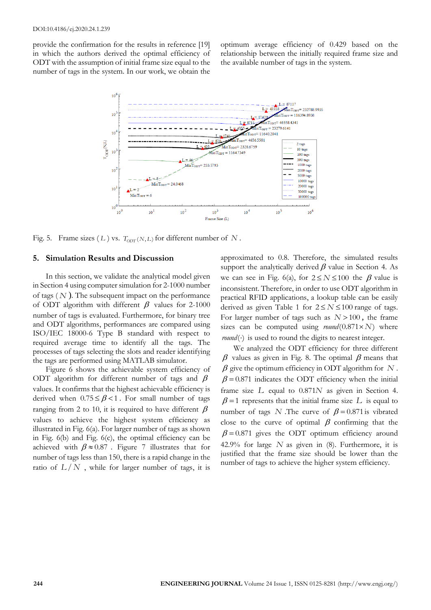provide the confirmation for the results in reference [19] in which the authors derived the optimal efficiency of ODT with the assumption of initial frame size equal to the number of tags in the system. In our work, we obtain the

optimum average efficiency of 0.429 based on the relationship between the initially required frame size and the available number of tags in the system.



Fig. 5. Frame sizes (L) vs.  $T_{OPT}(N, L)$  for different number of N.

#### **5. Simulation Results and Discussion**

In this section, we validate the analytical model given in Section 4 using computer simulation for 2-1000 number of tags ( *N* ). The subsequent impact on the performance of ODT algorithm with different  $\beta$  values for 2-1000 number of tags is evaluated. Furthermore, for binary tree and ODT algorithms, performances are compared using ISO/IEC 18000-6 Type B standard with respect to required average time to identify all the tags. The processes of tags selecting the slots and reader identifying the tags are performed using MATLAB simulator.

Figure 6 shows the achievable system efficiency of ODT algorithm for different number of tags and  $\beta$ values. It confirms that the highest achievable efficiency is derived when  $0.75 \leq \beta < 1$ . For small number of tags ranging from 2 to 10, it is required to have different  $\beta$ values to achieve the highest system efficiency as illustrated in Fig. 6(a). For larger number of tags as shown in Fig. 6(b) and Fig. 6(c), the optimal efficiency can be achieved with  $\beta \approx 0.87$ . Figure 7 illustrates that for number of tags less than 150, there is a rapid change in the ratio of  $L/N$ , while for larger number of tags, it is approximated to 0.8. Therefore, the simulated results support the analytically derived  $\beta$  value in Section 4. As we can see in Fig. 6(a), for  $2 \le N \le 100$  the  $\beta$  value is inconsistent. Therefore, in order to use ODT algorithm in practical RFID applications, a lookup table can be easily derived as given Table 1 for  $2 \le N \le 100$  range of tags. For larger number of tags such as  $N > 100$ , the frame sizes can be computed using  $round(0.871 \times N)$  where  $round(\cdot)$  is used to round the digits to nearest integer.

We analyzed the ODT efficiency for three different  $\beta$  values as given in Fig. 8. The optimal  $\beta$  means that  $\beta$  give the optimum efficiency in ODT algorithm for  $N$ .  $\beta$  = 0.871 indicates the ODT efficiency when the initial frame size L equal to  $0.871N$  as given in Section 4.  $\beta$  = 1 represents that the initial frame size L is equal to number of tags *N* .The curve of  $\beta = 0.871$  is vibrated close to the curve of optimal  $\beta$  confirming that the  $\beta$  = 0.871 gives the ODT optimum efficiency around 42.9% for large  $N$  as given in  $(8)$ . Furthermore, it is justified that the frame size should be lower than the number of tags to achieve the higher system efficiency.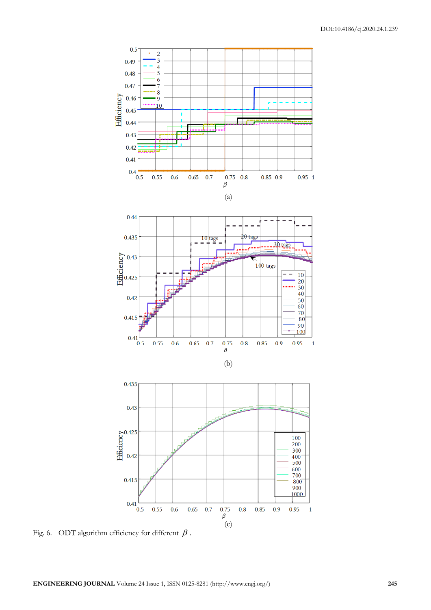

Fig. 6. ODT algorithm efficiency for different  $\beta$ .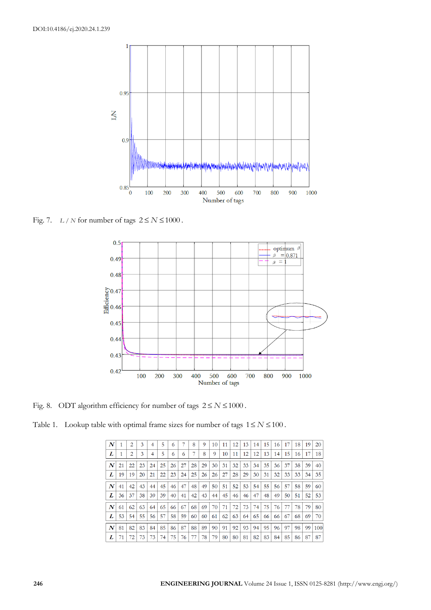

Fig. 7. *L* / *N* for number of tags  $2 \le N \le 1000$ .



Fig. 8. ODT algorithm efficiency for number of tags  $2 \le N \le 1000$ .

|  |  |  |  |  |  |  |  | Table 1. Lookup table with optimal frame sizes for number of tags $1 \le N \le 100$ . |
|--|--|--|--|--|--|--|--|---------------------------------------------------------------------------------------|
|--|--|--|--|--|--|--|--|---------------------------------------------------------------------------------------|

| N                |    | 2  | 3  |    | 5  | 6  |    | 8  | 9  | 10 | 11 | 12 | 13 | 14 | 15 | 16 | 17 | 18 | 19 | 20  |
|------------------|----|----|----|----|----|----|----|----|----|----|----|----|----|----|----|----|----|----|----|-----|
| L                |    | 2  | 3  | 4  | 5  | 6  | 6  |    | 8  | 9  | 10 | 11 | 12 | 12 | 13 | 14 | 15 | 16 | 17 | 18  |
| N                | 21 | 22 | 23 | 24 | 25 | 26 | 27 | 28 | 29 | 30 | 31 | 32 | 33 | 34 | 35 | 36 | 37 | 38 | 39 | 40  |
| L                | 19 | 19 | 20 | 21 | 22 | 23 | 24 | 25 | 26 | 26 | 27 | 28 | 29 | 30 | 31 | 32 | 33 | 33 | 34 | 35  |
| $\boldsymbol{N}$ | 41 | 42 | 43 | 44 | 45 | 46 | 47 | 48 | 49 | 50 | 51 | 52 | 53 | 54 | 55 | 56 | 57 | 58 | 59 | 60  |
| L                | 36 | 37 | 38 | 39 | 39 | 40 | 41 | 42 | 43 | 44 | 45 | 46 | 46 | 47 | 48 | 49 | 50 | 51 | 52 | 53  |
| $\boldsymbol{N}$ | 61 | 62 | 63 | 64 | 65 | 66 | 67 | 68 | 69 | 70 | 71 | 72 | 73 | 74 | 75 | 76 | 77 | 78 | 79 | 80  |
| L                | 53 | 54 | 55 | 56 | 57 | 58 | 59 | 60 | 60 | 61 | 62 | 63 | 64 | 65 | 66 | 66 | 67 | 68 | 69 | 70  |
| $\boldsymbol{N}$ | 81 | 82 | 83 | 84 | 85 | 86 | 87 | 88 | 89 | 90 | 91 | 92 | 93 | 94 | 95 | 96 | 97 | 98 | 99 | 100 |
| L                | 71 | 72 | 73 | 73 | 74 | 75 | 76 |    | 78 | 79 | 80 | 80 | 81 | 82 | 83 | 84 | 85 | 86 | 87 | 87  |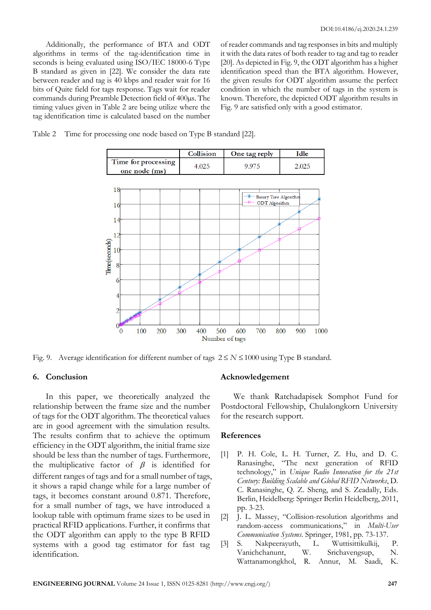Additionally, the performance of BTA and ODT algorithms in terms of the tag-identification time in seconds is being evaluated using ISO/IEC 18000-6 Type B standard as given in [22]. We consider the data rate between reader and tag is 40 kbps and reader wait for 16 bits of Quite field for tags response. Tags wait for reader commands during Preamble Detection field of 400µs. The timing values given in Table 2 are being utilize where the tag identification time is calculated based on the number

of reader commands and tag responses in bits and multiply it with the data rates of both reader to tag and tag to reader [20]. As depicted in Fig. 9, the ODT algorithm has a higher identification speed than the BTA algorithm. However, the given results for ODT algorithm assume the perfect condition in which the number of tags in the system is known. Therefore, the depicted ODT algorithm results in Fig. 9 are satisfied only with a good estimator.

Table 2 Time for processing one node based on Type B standard [22].

|                                      | Collision | One tag reply | −ءا1⊸ |
|--------------------------------------|-----------|---------------|-------|
| Time for processing<br>one node (ms) |           |               |       |



Fig. 9. Average identification for different number of tags  $2 \le N \le 1000$  using Type B standard.

## **6. Conclusion**

In this paper, we theoretically analyzed the relationship between the frame size and the number of tags for the ODT algorithm. The theoretical values are in good agreement with the simulation results. The results confirm that to achieve the optimum efficiency in the ODT algorithm, the initial frame size should be less than the number of tags. Furthermore, the multiplicative factor of  $\beta$  is identified for different ranges of tags and for a small number of tags, it shows a rapid change while for a large number of tags, it becomes constant around 0.871. Therefore, for a small number of tags, we have introduced a lookup table with optimum frame sizes to be used in practical RFID applications. Further, it confirms that the ODT algorithm can apply to the type B RFID systems with a good tag estimator for fast tag identification.

### **Acknowledgement**

We thank Ratchadapisek Somphot Fund for Postdoctoral Fellowship, Chulalongkorn University for the research support.

## **References**

- [1] P. H. Cole, L. H. Turner, Z. Hu, and D. C. Ranasinghe, "The next generation of RFID technology," in *Unique Radio Innovation for the 21st Century: Building Scalable and Global RFID Networks*, D. C. Ranasinghe, Q. Z. Sheng, and S. Zeadally, Eds. Berlin, Heidelberg: Springer Berlin Heidelberg, 2011, pp. 3-23.
- [2] J. L. Massey, "Collision-resolution algorithms and random-access communications," in *Multi-User Communication Systems*. Springer, 1981, pp. 73-137.
- [3] S. Nakpeerayuth, L. Wuttisittikulkij, P. Vanichchanunt, W. Srichavengsup, N. Wattanamongkhol, R. Annur, M. Saadi, K.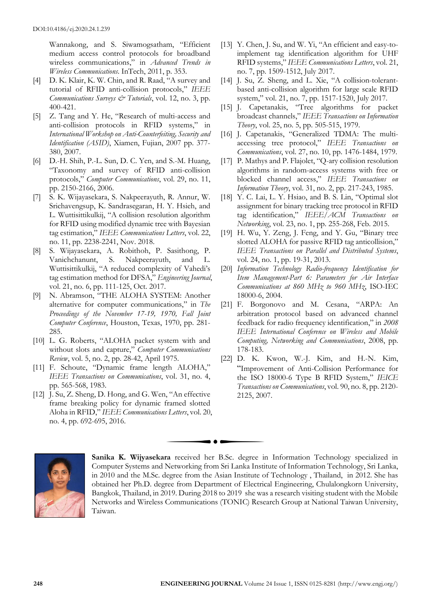Wannakong, and S. Siwamogsatham, "Efficient medium access control protocols for broadband wireless communications," in *Advanced Trends in Wireless Communications*. InTech, 2011, p. 353.

- [4] D. K. Klair, K. W. Chin, and R. Raad, "A survey and tutorial of RFID anti-collision protocols," *IEEE Communications Surveys & Tutorials*, vol. 12, no. 3, pp. 400-421.
- [5] Z. Tang and Y. He, "Research of multi-access and anti-collision protocols in RFID systems," in *International Workshop on Anti-Counterfeiting, Security and Identification (ASID)*, Xiamen, Fujian, 2007 pp. 377- 380, 2007.
- [6] D.-H. Shih, P.-L. Sun, D. C. Yen, and S.-M. Huang, "Taxonomy and survey of RFID anti-collision protocols," *Computer Communications*, vol. 29, no. 11, pp. 2150-2166, 2006.
- [7] S. K. Wijayasekara, S. Nakpeerayuth, R. Annur, W. Srichavengsup, K. Sandrasegaran, H. Y. Hsieh, and L. Wuttisittikulkij, "A collision resolution algorithm for RFID using modified dynamic tree with Bayesian tag estimation," *IEEE Communications Letters*, vol. 22, no. 11, pp. 2238-2241, Nov. 2018.
- [8] S. Wijayasekara, A. Robithoh, P. Sasithong, P. Vanichchanunt, S. Nakpeerayuth, and L. Wuttisittikulkij, "A reduced complexity of Vahedi's tag estimation method for DFSA," *Engineering Journal*, vol. 21, no. 6, pp. 111-125, Oct. 2017.
- [9] N. Abramson, "THE ALOHA SYSTEM: Another alternative for computer communications," in *The Proceedings of the November 17-19, 1970, Fall Joint Computer Conference*, Houston, Texas, 1970, pp. 281- 285.
- [10] L. G. Roberts, "ALOHA packet system with and without slots and capture," *Computer Communications Review*, vol. 5, no. 2, pp. 28-42, April 1975.
- [11] F. Schoute, "Dynamic frame length ALOHA," *IEEE Transactions on Communications*, vol. 31, no. 4, pp. 565-568, 1983.
- [12] J. Su, Z. Sheng, D. Hong, and G. Wen, "An effective frame breaking policy for dynamic framed slotted Aloha in RFID," *IEEE Communications Letters*, vol. 20, no. 4, pp. 692-695, 2016.
- [13] Y. Chen, J. Su, and W. Yi, "An efficient and easy-toimplement tag identification algorithm for UHF RFID systems," *IEEE Communications Letters*, vol. 21, no. 7, pp. 1509-1512, July 2017.
- [14] J. Su, Z. Sheng, and L. Xie, "A collision-tolerantbased anti-collision algorithm for large scale RFID system," vol. 21, no. 7, pp. 1517-1520, July 2017.
- [15] J. Capetanakis, "Tree algorithms for packet broadcast channels," *IEEE Transactions on Information Theory*, vol. 25, no. 5, pp. 505-515, 1979.
- [16] J. Capetanakis, "Generalized TDMA: The multiaccessing tree protocol," *IEEE Transactions on Communications*, vol. 27, no. 10, pp. 1476-1484, 1979.
- [17] P. Mathys and P. Flajolet, "Q-ary collision resolution algorithms in random-access systems with free or blocked channel access," *IEEE Transactions on Information Theory*, vol. 31, no. 2, pp. 217-243, 1985.
- [18] Y. C. Lai, L. Y. Hsiao, and B. S. Lin, "Optimal slot assignment for binary tracking tree protocol in RFID tag identification," *IEEE/ACM Transactions on Networking*, vol. 23, no. 1, pp. 255-268, Feb. 2015.
- [19] H. Wu, Y. Zeng, J. Feng, and Y. Gu, "Binary tree slotted ALOHA for passive RFID tag anticollision," *IEEE Transactions on Parallel and Distributed Systems*, vol. 24, no. 1, pp. 19-31, 2013.
- [20] *Information Technology Radio-frequency Identification for Item Management-Part 6: Parameters for Air Interface Communications at 860 MHz to 960 MHz*, ISO-IEC 18000-6, 2004.
- [21] F. Borgonovo and M. Cesana, "ARPA: An arbitration protocol based on advanced channel feedback for radio frequency identification," in *2008 IEEE International Conference on Wireless and Mobile Computing, Networking and Communications*, 2008, pp. 178-183.
- [22] D. K. Kwon, W.-J. Kim, and H.-N. Kim, "Improvement of Anti-Collision Performance for the ISO 18000-6 Type B RFID System," *IEICE Transactions on Communications*, vol. 90, no. 8, pp. 2120- 2125, 2007.



**Sanika K. Wijyasekara** received her B.Sc. degree in Information Technology specialized in Computer Systems and Networking from Sri Lanka Institute of Information Technology, Sri Lanka, in 2010 and the M.Sc. degree from the Asian Institute of Technology , Thailand, in 2012. She has obtained her Ph.D. degree from Department of Electrical Engineering, Chulalongkorn University, Bangkok, Thailand, in 2019. During 2018 to 2019 she was a research visiting student with the Mobile Networks and Wireless Communications (TONIC) Research Group at National Taiwan University, Taiwan.